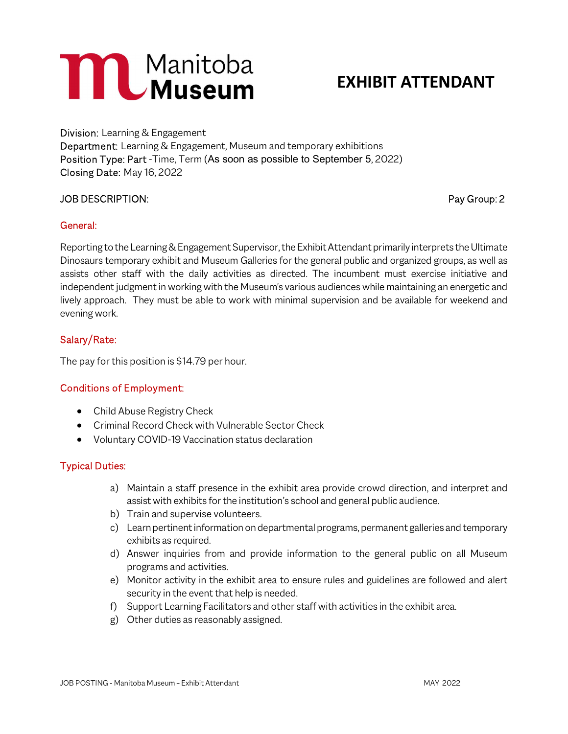# **MANDREAD MANUSCIE**

## EXHIBIT ATTENDANT

Division: Learning & Engagement Department: Learning & Engagement, Museum and temporary exhibitions Position Type: Part -Time, Term (As soon as possible to September 5, 2022) Closing Date: May 16, 2022

### JOB DESCRIPTION: Pay Group: 2

#### General:

Reporting to the Learning & Engagement Supervisor, the Exhibit Attendant primarily interprets the Ultimate Dinosaurs temporary exhibit and Museum Galleries for the general public and organized groups, as well as assists other staff with the daily activities as directed. The incumbent must exercise initiative and independent judgment in working with the Museum's various audiences while maintaining an energetic and lively approach. They must be able to work with minimal supervision and be available for weekend and evening work.

### Salary/Rate:

The pay for this position is \$14.79 per hour.

#### Conditions of Employment:

- Child Abuse Registry Check
- Criminal Record Check with Vulnerable Sector Check
- Voluntary COVID-19 Vaccination status declaration

#### Typical Duties:

- a) Maintain a staff presence in the exhibit area provide crowd direction, and interpret and assist with exhibits for the institution's school and general public audience.
- b) Train and supervise volunteers.
- c) Learn pertinent information on departmental programs, permanent galleries and temporary exhibits as required.
- d) Answer inquiries from and provide information to the general public on all Museum programs and activities.
- e) Monitor activity in the exhibit area to ensure rules and guidelines are followed and alert security in the event that help is needed.
- f) Support Learning Facilitators and other staff with activities in the exhibit area.
- g) Other duties as reasonably assigned.